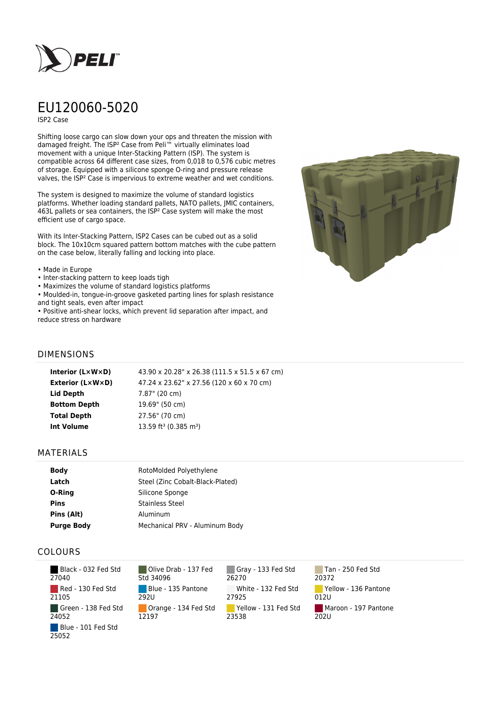

# EU120060-5020

ISP2 Case

Shifting loose cargo can slow down your ops and threaten the mission with damaged freight. The ISP² Case from Peli™ virtually eliminates load movement with a unique Inter-Stacking Pattern (ISP). The system is compatible across 64 different case sizes, from 0,018 to 0,576 cubic metres of storage. Equipped with a silicone sponge O-ring and pressure release valves, the ISP² Case is impervious to extreme weather and wet conditions.

The system is designed to maximize the volume of standard logistics platforms. Whether loading standard pallets, NATO pallets, JMIC containers, 463L pallets or sea containers, the ISP² Case system will make the most efficient use of cargo space.

With its Inter-Stacking Pattern, ISP2 Cases can be cubed out as a solid block. The 10x10cm squared pattern bottom matches with the cube pattern on the case below, literally falling and locking into place.

#### • Made in Europe

- Inter-stacking pattern to keep loads tigh
- Maximizes the volume of standard logistics platforms

• Moulded-in, tongue-in-groove gasketed parting lines for splash resistance and tight seals, even after impact

• Positive anti-shear locks, which prevent lid separation after impact, and reduce stress on hardware



## DIMENSIONS

| Interior (LxWxD)        | 43.90 x 20.28" x 26.38 (111.5 x 51.5 x 67 cm) |
|-------------------------|-----------------------------------------------|
| <b>Exterior (L×W×D)</b> | 47.24 x 23.62" x 27.56 (120 x 60 x 70 cm)     |
| Lid Depth               | 7.87" (20 cm)                                 |
| <b>Bottom Depth</b>     | 19.69" (50 cm)                                |
| <b>Total Depth</b>      | 27.56" (70 cm)                                |
| <b>Int Volume</b>       | 13.59 ft <sup>3</sup> (0.385 m <sup>3</sup> ) |
|                         |                                               |

### MATERIALS

| <b>Body</b>       | RotoMolded Polyethylene          |
|-------------------|----------------------------------|
| Latch             | Steel (Zinc Cobalt-Black-Plated) |
| O-Ring            | Silicone Sponge                  |
| <b>Pins</b>       | <b>Stainless Steel</b>           |
| Pins (Alt)        | Aluminum                         |
| <b>Purge Body</b> | Mechanical PRV - Aluminum Body   |

## COLOURS

 Black - 032 Fed Std 27040 Red - 130 Fed Std 21105 Green - 138 Fed Std 24052 Blue - 101 Fed Std 25052

Olive Drab - 137 Fed Std 34096 Blue - 135 Pantone 292U Orange - 134 Fed Std 12197

Gray - 133 Fed Std 26270 White - 132 Fed Std 27925 Yellow - 131 Fed Std 23538

Tan - 250 Fed Std 20372 Yellow - 136 Pantone 012U Maroon - 197 Pantone  $202U$